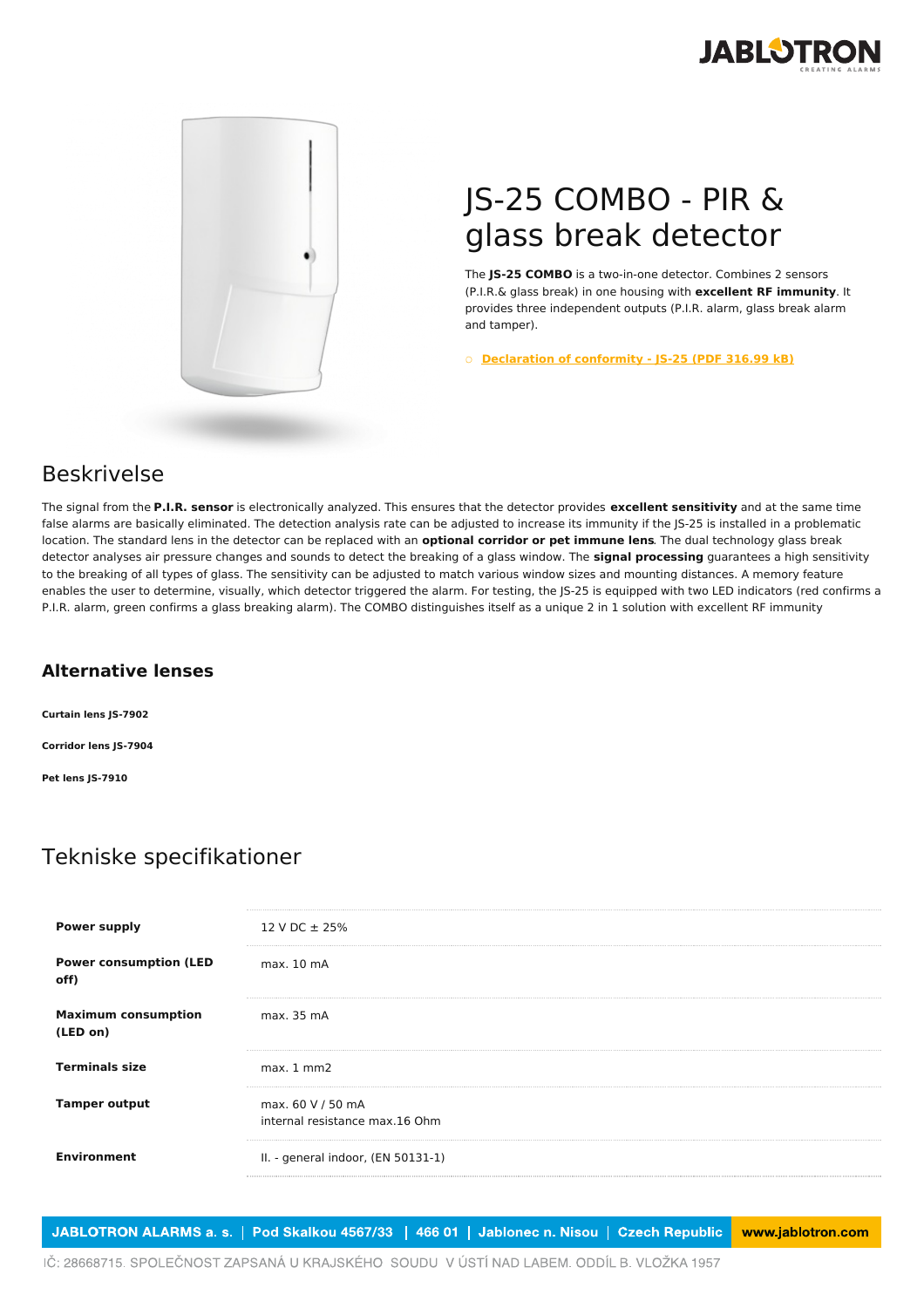



## JS-25 COMBO - PIR & glass break detector

The **JS-25 COMBO** is a two-in-one detector. Combines 2 sensors (P.I.R.& glass break) in one housing with **excellent RF immunity**. It provides three independent outputs (P.I.R. alarm, glass break alarm and tamper).

○ **[Declaration](https://www.jablotron.com/dk/template/product/44/?file=0&jt_id=523&hash=e5KerE&do=downloadCertificate) of conformity - JS-25 (PDF 316.99 kB)**

## Beskrivelse

The signal from the **P.I.R. sensor** is electronically analyzed. This ensures that the detector provides **excellent sensitivity** and at the same time false alarms are basically eliminated. The detection analysis rate can be adjusted to increase its immunity if the JS-25 is installed in a problematic location. The standard lens in the detector can be replaced with an **optional corridor or pet immune lens**. The dual technology glass break detector analyses air pressure changes and sounds to detect the breaking of a glass window. The **signal processing** guarantees a high sensitivity to the breaking of all types of glass. The sensitivity can be adjusted to match various window sizes and mounting distances. A memory feature enables the user to determine, visually, which detector triggered the alarm. For testing, the JS-25 is equipped with two LED indicators (red confirms a P.I.R. alarm, green confirms a glass breaking alarm). The COMBO distinguishes itself as a unique 2 in 1 solution with excellent RF immunity

## **Alternative lenses**

**Curtain lens JS-7902 Corridor lens JS-7904 Pet lens JS-7910**

## Tekniske specifikationer

| <b>Power supply</b>                    | 12 V DC $\pm$ 25%                                   |
|----------------------------------------|-----------------------------------------------------|
| <b>Power consumption (LED</b><br>off)  | max. 10 mA                                          |
| <b>Maximum consumption</b><br>(LED on) | max. 35 mA                                          |
| <b>Terminals size</b>                  | $max.1$ mm $2$                                      |
| <b>Tamper output</b>                   | max. 60 V / 50 mA<br>internal resistance max.16 Ohm |
| <b>Environment</b>                     | II. - general indoor, (EN 50131-1)                  |

JABLOTRON ALARMS a. s. | Pod Skalkou 4567/33 | 466 01 | Jablonec n. Nisou | Czech Republic www.jablotron.com